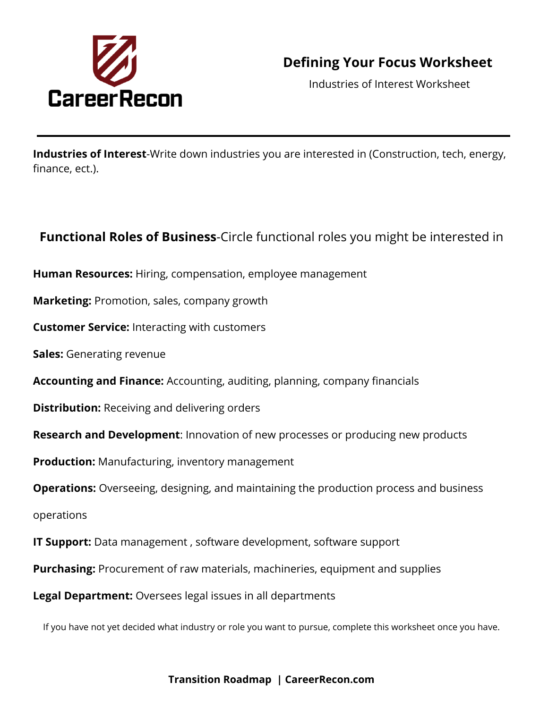

## **Defining Your Focus Worksheet**

Industries of Interest Worksheet

**Industries of Interest**-Write down industries you are interested in (Construction, tech, energy, finance, ect.).

### **Functional Roles of Business**-Circle functional roles you might be interested in

- **Human Resources:** Hiring, compensation, employee management
- **Marketing:** Promotion, sales, company growth
- **Customer Service:** Interacting with customers
- **Sales:** Generating revenue
- **Accounting and Finance:** Accounting, auditing, planning, company financials
- **Distribution:** Receiving and delivering orders
- **Research and Development**: Innovation of new processes or producing new products
- **Production:** Manufacturing, inventory management
- **Operations:** Overseeing, designing, and maintaining the production process and business
- operations
- **IT Support:** Data management , software development, software support
- **Purchasing:** Procurement of raw materials, machineries, equipment and supplies
- **Legal Department:** Oversees legal issues in all departments

If you have not yet decided what industry or role you want to pursue, complete this worksheet once you have.